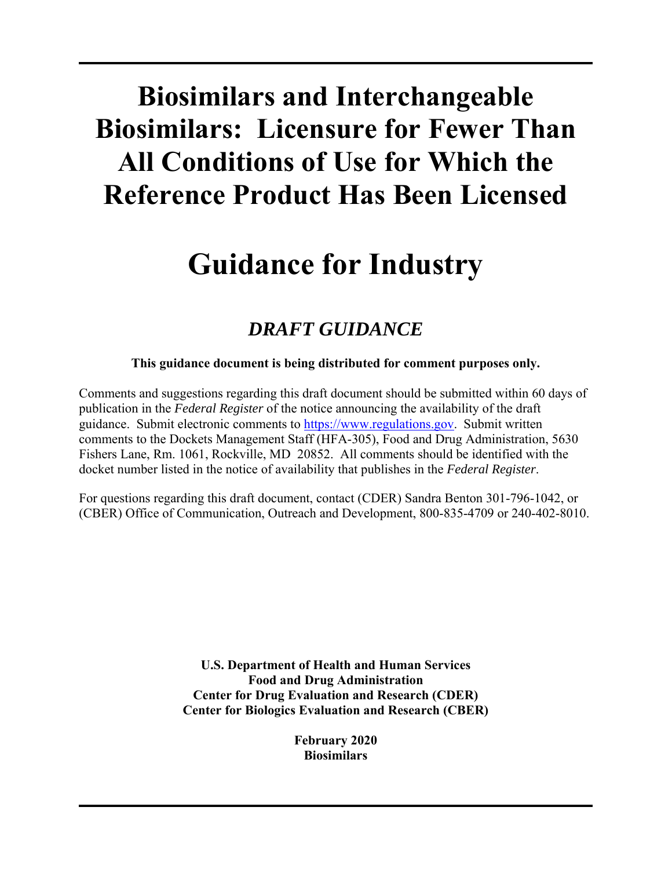# **Biosimilars and Interchangeable Biosimilars: Licensure for Fewer Than All Conditions of Use for Which the Reference Product Has Been Licensed**

## **Guidance for Industry**

### *DRAFT GUIDANCE*

#### **This guidance document is being distributed for comment purposes only.**

Comments and suggestions regarding this draft document should be submitted within 60 days of publication in the *Federal Register* of the notice announcing the availability of the draft guidance. Submit electronic comments to https://www.regulations.gov. Submit written comments to the Dockets Management Staff (HFA-305), Food and Drug Administration, 5630 Fishers Lane, Rm. 1061, Rockville, MD 20852. All comments should be identified with the docket number listed in the notice of availability that publishes in the *Federal Register*.

For questions regarding this draft document, contact (CDER) Sandra Benton 301-796-1042, or (CBER) Office of Communication, Outreach and Development, 800-835-4709 or 240-402-8010.

> **U.S. Department of Health and Human Services Food and Drug Administration Center for Drug Evaluation and Research (CDER) Center for Biologics Evaluation and Research (CBER)**

> > **February 2020 Biosimilars**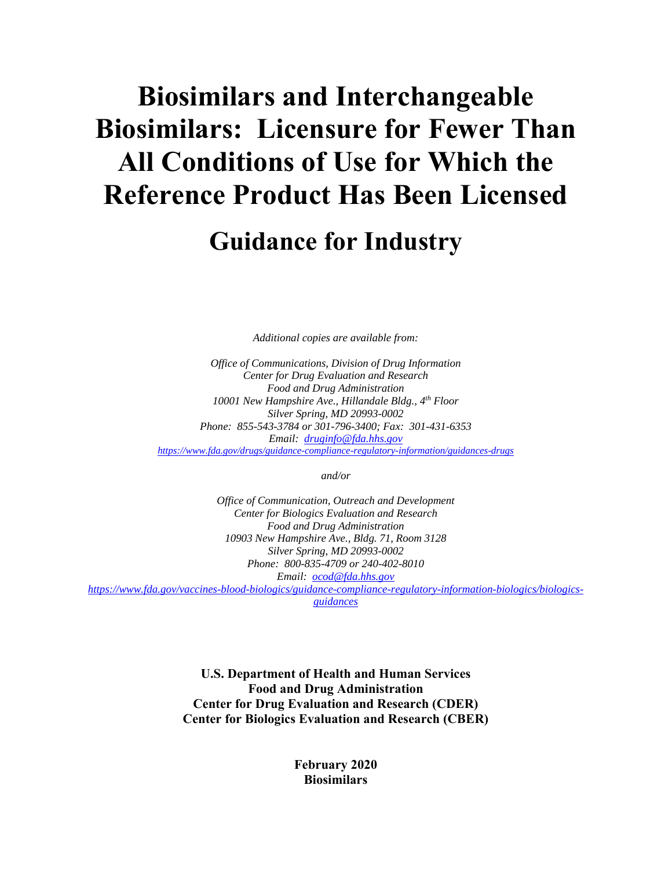# **Biosimilars and Interchangeable Biosimilars: Licensure for Fewer Than All Conditions of Use for Which the Reference Product Has Been Licensed**

## **Guidance for Industry**

*Additional copies are available from:* 

 *Office of Communications, Division of Drug Information Silver Spring, MD 20993-0002 Email: druginfo@fda.hhs.gov https://www.fda.gov/drugs/guidance-compliance-regulatory-information/guidances-drugs Center for Drug Evaluation and Research Food and Drug Administration 10001 New Hampshire Ave., Hillandale Bldg., 4th Floor Phone: 855-543-3784 or 301-796-3400; Fax: 301-431-6353* 

*and/or* 

 *Email: ocod@fda.hhs.gov Office of Communication, Outreach and Development Center for Biologics Evaluation and Research Food and Drug Administration 10903 New Hampshire Ave., Bldg. 71, Room 3128 Silver Spring, MD 20993-0002 Phone: 800-835-4709 or 240-402-8010 https://www.fda.gov/vaccines-blood-biologics/guidance-compliance-regulatory-information-biologics/biologicsguidances*

> **U.S. Department of Health and Human Services Food and Drug Administration Center for Drug Evaluation and Research (CDER) Center for Biologics Evaluation and Research (CBER)**

> > **February 2020 Biosimilars**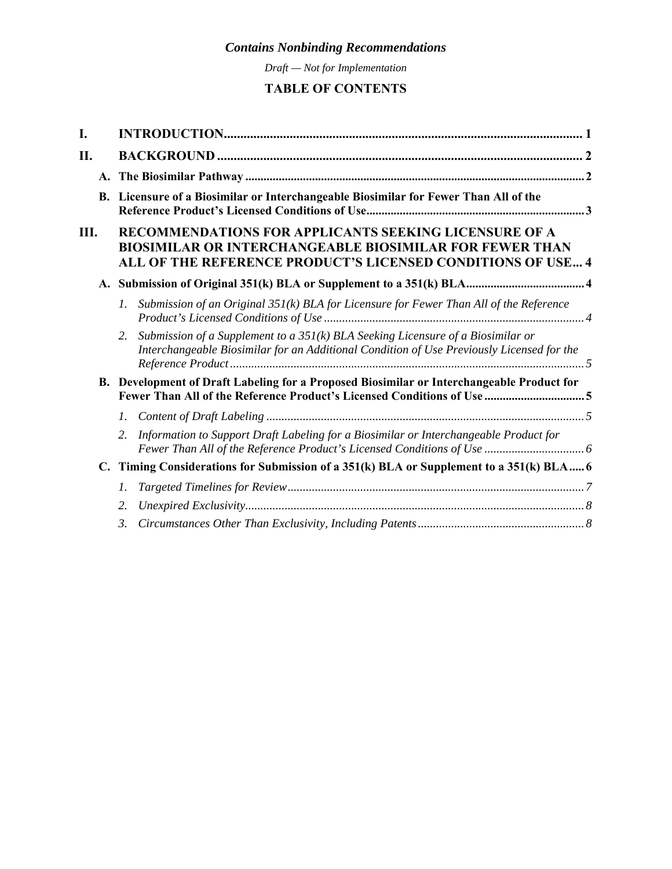*Draft — Not for Implementation* 

### **TABLE OF CONTENTS**

| I. |                |                                                                                                                                                                                        |  |
|----|----------------|----------------------------------------------------------------------------------------------------------------------------------------------------------------------------------------|--|
| П. |                |                                                                                                                                                                                        |  |
|    |                |                                                                                                                                                                                        |  |
|    |                | B. Licensure of a Biosimilar or Interchangeable Biosimilar for Fewer Than All of the                                                                                                   |  |
| Ш. |                | RECOMMENDATIONS FOR APPLICANTS SEEKING LICENSURE OF A<br><b>BIOSIMILAR OR INTERCHANGEABLE BIOSIMILAR FOR FEWER THAN</b><br>ALL OF THE REFERENCE PRODUCT'S LICENSED CONDITIONS OF USE 4 |  |
|    |                |                                                                                                                                                                                        |  |
|    |                | $\mathfrak{1}.$<br>Submission of an Original $35I(k)$ BLA for Licensure for Fewer Than All of the Reference                                                                            |  |
|    |                | Submission of a Supplement to a $35I(k)$ BLA Seeking Licensure of a Biosimilar or<br>2.<br>Interchangeable Biosimilar for an Additional Condition of Use Previously Licensed for the   |  |
|    |                | B. Development of Draft Labeling for a Proposed Biosimilar or Interchangeable Product for                                                                                              |  |
|    |                | $l_{\cdot}$                                                                                                                                                                            |  |
|    |                | 2.<br>Information to Support Draft Labeling for a Biosimilar or Interchangeable Product for                                                                                            |  |
|    | $\mathbf{C}$ . | Timing Considerations for Submission of a 351(k) BLA or Supplement to a 351(k) BLA 6                                                                                                   |  |
|    |                | 1.                                                                                                                                                                                     |  |
|    |                | 2.                                                                                                                                                                                     |  |
|    |                | 3.                                                                                                                                                                                     |  |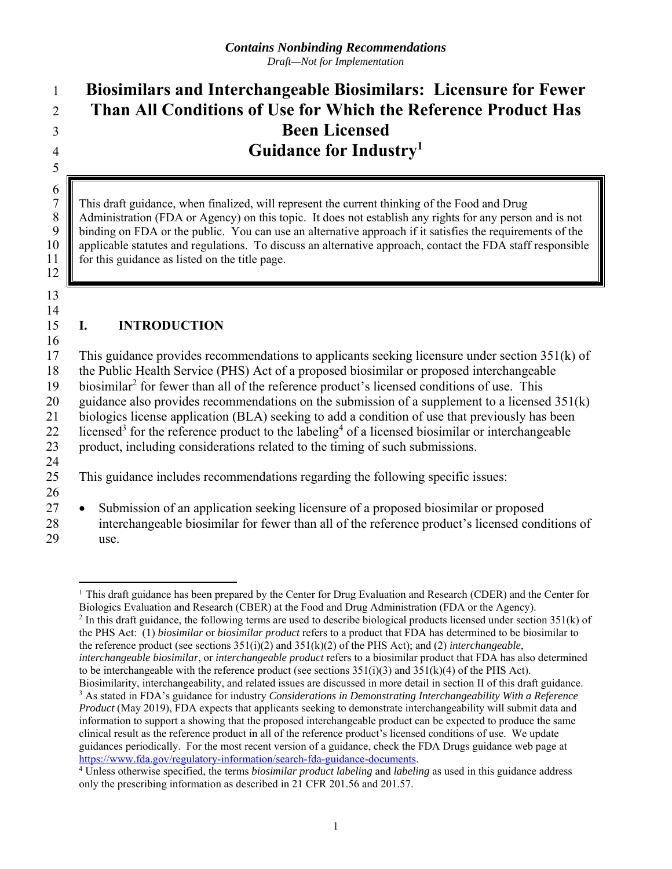### 1 **Biosimilars and Interchangeable Biosimilars: Licensure for Fewer**  2 **Than All Conditions of Use for Which the Reference Product Has**  3 **Been Licensed**  4 **Guidance for Industry1**  5

7 This draft guidance, when finalized, will represent the current thinking of the Food and Drug Administration (FDA or Agency) on this topic. It does not establish any rights for any person 8 Administration (FDA or Agency) on this topic. It does not establish any rights for any person and is not<br>9 binding on FDA or the public. You can use an alternative approach if it satisfies the requirements of the binding on FDA or the public. You can use an alternative approach if it satisfies the requirements of the 10 applicable statutes and regulations. To discuss an alternative approach, contact the FDA staff responsible 11 **for this guidance as listed on the title page.** 

13 14

16

12

 $\frac{6}{7}$ 

#### 15 **I. INTRODUCTION**

17 This guidance provides recommendations to applicants seeking licensure under section 351(k) of 18 the Public Health Service (PHS) Act of a proposed biosimilar or proposed interchangeable 19 biosimilar<sup>2</sup> for fewer than all of the reference product's licensed conditions of use. This 20 guidance also provides recommendations on the submission of a supplement to a licensed  $351(k)$ 21 biologics license application (BLA) seeking to add a condition of use that previously has been 22 licensed<sup>3</sup> for the reference product to the labeling<sup>4</sup> of a licensed biosimilar or interchangeable 23 product, including considerations related to the timing of such submissions. 24 25 This guidance includes recommendations regarding the following specific issues:

26

29 use.

Biologics Evaluation and Research (CBER) at the Food and Drug Administration (FDA or the Agency).<br><sup>2</sup> In this draft guidance, the following terms are used to describe biological products licensed under section 351(k) of the PHS Act: (1) *biosimilar* or *biosimilar product* refers to a product that FDA has determined to be biosimilar to *interchangeable biosimilar*, or *interchangeable product* refers to a biosimilar product that FDA has also determined to be interchangeable with the reference product (see sections  $351(i)(3)$  and  $351(k)(4)$  of the PHS Act). the reference product (see sections 351(i)(2) and 351(k)(2) of the PHS Act); and (2) *interchangeable*,

<sup>27 •</sup> Submission of an application seeking licensure of a proposed biosimilar or proposed 28 interchangeable biosimilar for fewer than all of the reference product's licensed conditions of

 $\overline{a}$ <sup>1</sup> This draft guidance has been prepared by the Center for Drug Evaluation and Research (CDER) and the Center for

 Biosimilarity, interchangeability, and related issues are discussed in more detail in section II of this draft guidance. <sup>3</sup> As stated in FDA's guidance for industry *Considerations in Demonstrating Interchangeability With a Reference Product* (May 2019), FDA expects that applicants seeking to demonstrate interchangeability will submit data and guidances periodically. For the most recent version of a guidance, check the FDA Drugs guidance web page at information to support a showing that the proposed interchangeable product can be expected to produce the same clinical result as the reference product in all of the reference product's licensed conditions of use. We update https://www.fda.gov/regulatory-information/search-fda-guidance-documents. 4

 Unless otherwise specified, the terms *biosimilar product labeling* and *labeling* as used in this guidance address only the prescribing information as described in 21 CFR 201.56 and 201.57.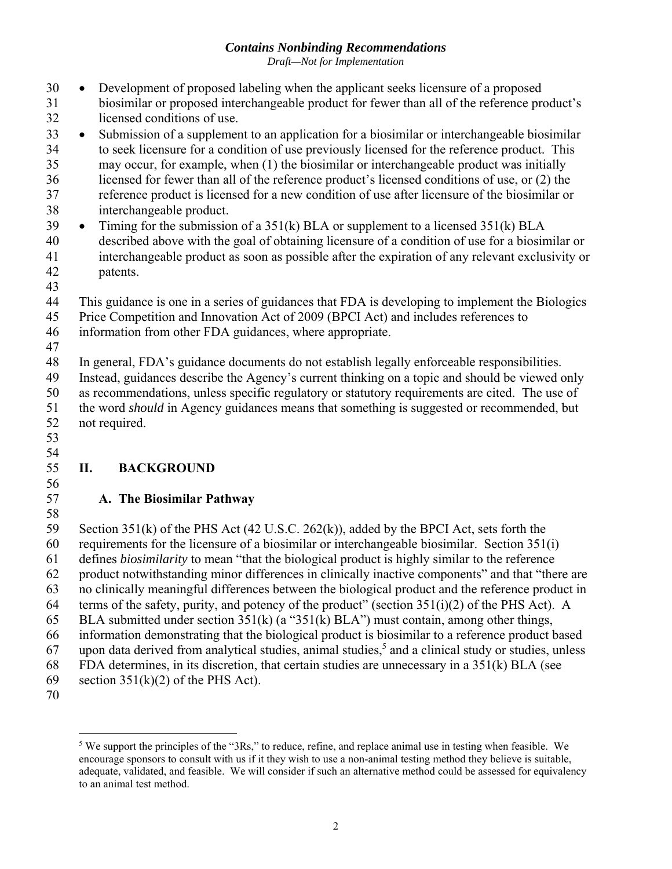*Draft—Not for Implementation* 

<span id="page-4-0"></span>30 Development of proposed labeling when the applicant seeks licensure of a proposed 31 biosimilar or proposed interchangeable product for fewer than all of the reference product's 32 licensed conditions of use.

33 • Submission of a supplement to an application for a biosimilar or interchangeable biosimilar 34 to seek licensure for a condition of use previously licensed for the reference product. This 35 may occur, for example, when (1) the biosimilar or interchangeable product was initially 36 licensed for fewer than all of the reference product's licensed conditions of use, or (2) the 37 reference product is licensed for a new condition of use after licensure of the biosimilar or

- 38 interchangeable product.
- 39 Timing for the submission of a  $351(k)$  BLA or supplement to a licensed  $351(k)$  BLA 40 described above with the goal of obtaining licensure of a condition of use for a biosimilar or 41 interchangeable product as soon as possible after the expiration of any relevant exclusivity or 42 patents.
- 43
- 44 This guidance is one in a series of guidances that FDA is developing to implement the Biologics
- 45 Price Competition and Innovation Act of 2009 (BPCI Act) and includes references to
- 46 information from other FDA guidances, where appropriate.
- 47

48 In general, FDA's guidance documents do not establish legally enforceable responsibilities. 49 Instead, guidances describe the Agency's current thinking on a topic and should be viewed only 50 as recommendations, unless specific regulatory or statutory requirements are cited. The use of 51 the word *should* in Agency guidances means that something is suggested or recommended, but

- 52 not required.
- 53 54

56

#### 55 **II. BACKGROUND**

#### 57 **A. The Biosimilar Pathway**

58 59 Section 351(k) of the PHS Act (42 U.S.C. 262(k)), added by the BPCI Act, sets forth the 60 requirements for the licensure of a biosimilar or interchangeable biosimilar. Section  $351(i)$ 61 defines *biosimilarity* to mean "that the biological product is highly similar to the reference 62 product notwithstanding minor differences in clinically inactive components" and that "there are 63 no clinically meaningful differences between the biological product and the reference product in 64 terms of the safety, purity, and potency of the product" (section  $351(i)(2)$  of the PHS Act). A 65 BLA submitted under section 351(k) (a "351(k) BLA") must contain, among other things, 66 information demonstrating that the biological product is biosimilar to a reference product based 67 upon data derived from analytical studies, animal studies,  $5$  and a clinical study or studies, unless 68 FDA determines, in its discretion, that certain studies are unnecessary in a 351(k) BLA (see 69 section  $351(k)(2)$  of the PHS Act).

70

<sup>1</sup>  encourage sponsors to consult with us if it they wish to use a non-animal testing method they believe is suitable, adequate, validated, and feasible. We will consider if such an alternative method could be assessed for equivalency <sup>5</sup> We support the principles of the "3Rs," to reduce, refine, and replace animal use in testing when feasible. We to an animal test method.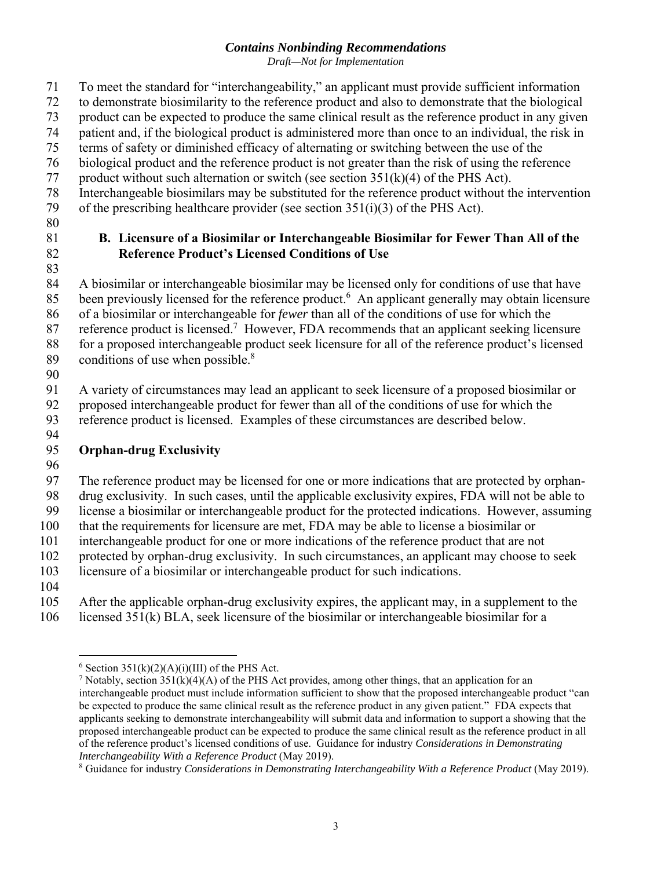*Draft—Not for Implementation* 

- <span id="page-5-0"></span>71 To meet the standard for "interchangeability," an applicant must provide sufficient information
- 72 to demonstrate biosimilarity to the reference product and also to demonstrate that the biological
- 73 product can be expected to produce the same clinical result as the reference product in any given
- 74 patient and, if the biological product is administered more than once to an individual, the risk in
- 75 terms of safety or diminished efficacy of alternating or switching between the use of the
- 76 biological product and the reference product is not greater than the risk of using the reference
- 77 product without such alternation or switch (see section  $351(k)(4)$  of the PHS Act).
- 78 Interchangeable biosimilars may be substituted for the reference product without the intervention
- 79 of the prescribing healthcare provider (see section 351(i)(3) of the PHS Act).
- 80

#### 81 **B. Licensure of a Biosimilar or Interchangeable Biosimilar for Fewer Than All of the**  82 **Reference Product's Licensed Conditions of Use**

83 84 A biosimilar or interchangeable biosimilar may be licensed only for conditions of use that have 85 been previously licensed for the reference product.<sup>6</sup> An applicant generally may obtain licensure 86 of a biosimilar or interchangeable for *fewer* than all of the conditions of use for which the 87 reference product is licensed.<sup>7</sup> However, FDA recommends that an applicant seeking licensure 88 for a proposed interchangeable product seek licensure for all of the reference product's licensed

- 89 conditions of use when possible. $8^8$
- 90

91 A variety of circumstances may lead an applicant to seek licensure of a proposed biosimilar or

92 proposed interchangeable product for fewer than all of the conditions of use for which the

93 reference product is licensed. Examples of these circumstances are described below. 94

#### 95 **Orphan-drug Exclusivity**

96

97 The reference product may be licensed for one or more indications that are protected by orphan-

98 drug exclusivity. In such cases, until the applicable exclusivity expires, FDA will not be able to

99 license a biosimilar or interchangeable product for the protected indications. However, assuming

100 that the requirements for licensure are met, FDA may be able to license a biosimilar or

101 interchangeable product for one or more indications of the reference product that are not 102 protected by orphan-drug exclusivity. In such circumstances, an applicant may choose to seek

103 licensure of a biosimilar or interchangeable product for such indications.

104

105 After the applicable orphan-drug exclusivity expires, the applicant may, in a supplement to the

106 licensed 351(k) BLA, seek licensure of the biosimilar or interchangeable biosimilar for a

 $\overline{a}$  $6$  Section 351(k)(2)(A)(i)(III) of the PHS Act.

<sup>&</sup>lt;sup>7</sup> Notably, section 351(k)(4)(A) of the PHS Act provides, among other things, that an application for an interchangeable product must include information sufficient to show that the proposed interchangeable product "can proposed interchangeable product can be expected to produce the same clinical result as the reference product in all be expected to produce the same clinical result as the reference product in any given patient." FDA expects that applicants seeking to demonstrate interchangeability will submit data and information to support a showing that the of the reference product's licensed conditions of use. Guidance for industry *Considerations in Demonstrating Interchangeability With a Reference Product* (May 2019).

<sup>8</sup> Guidance for industry *Considerations in Demonstrating Interchangeability With a Reference Product* (May 2019).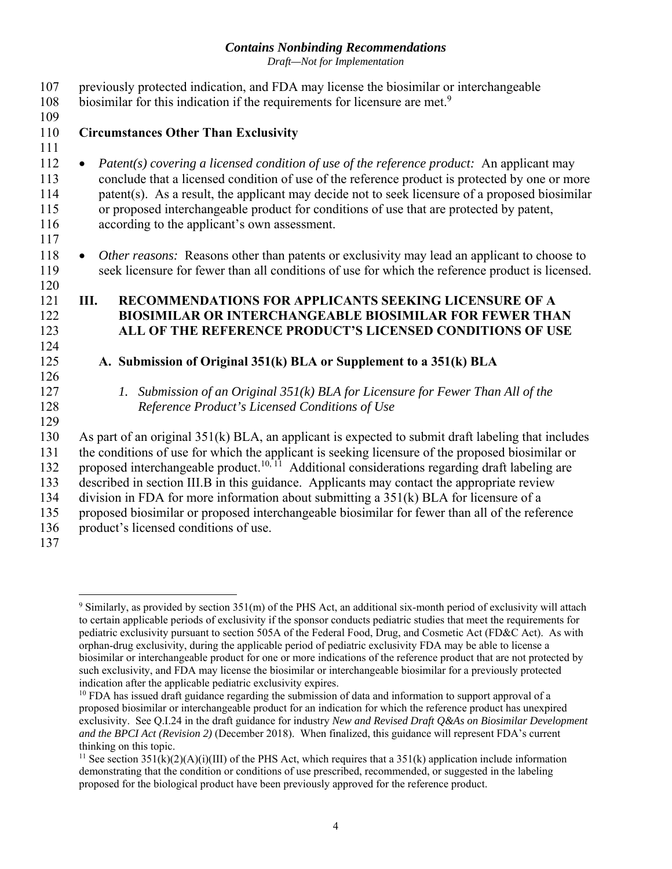*Draft—Not for Implementation* 

<span id="page-6-0"></span>

| 107<br>108                             | previously protected indication, and FDA may license the biosimilar or interchangeable<br>biosimilar for this indication if the requirements for licensure are met. <sup>9</sup>                                                                                                                                                                                                                                                                       |
|----------------------------------------|--------------------------------------------------------------------------------------------------------------------------------------------------------------------------------------------------------------------------------------------------------------------------------------------------------------------------------------------------------------------------------------------------------------------------------------------------------|
| 109                                    |                                                                                                                                                                                                                                                                                                                                                                                                                                                        |
| 110                                    | <b>Circumstances Other Than Exclusivity</b>                                                                                                                                                                                                                                                                                                                                                                                                            |
| 111                                    |                                                                                                                                                                                                                                                                                                                                                                                                                                                        |
| 112<br>113<br>114<br>115<br>116<br>117 | Patent(s) covering a licensed condition of use of the reference product: An applicant may<br>$\bullet$<br>conclude that a licensed condition of use of the reference product is protected by one or more<br>patent(s). As a result, the applicant may decide not to seek licensure of a proposed biosimilar<br>or proposed interchangeable product for conditions of use that are protected by patent,<br>according to the applicant's own assessment. |
| 118                                    | Other reasons: Reasons other than patents or exclusivity may lead an applicant to choose to                                                                                                                                                                                                                                                                                                                                                            |
| 119                                    | seek licensure for fewer than all conditions of use for which the reference product is licensed.                                                                                                                                                                                                                                                                                                                                                       |
| 120                                    |                                                                                                                                                                                                                                                                                                                                                                                                                                                        |
| 121                                    | RECOMMENDATIONS FOR APPLICANTS SEEKING LICENSURE OF A<br>Ш.                                                                                                                                                                                                                                                                                                                                                                                            |
| 122                                    | <b>BIOSIMILAR OR INTERCHANGEABLE BIOSIMILAR FOR FEWER THAN</b>                                                                                                                                                                                                                                                                                                                                                                                         |
| 123                                    | ALL OF THE REFERENCE PRODUCT'S LICENSED CONDITIONS OF USE                                                                                                                                                                                                                                                                                                                                                                                              |
| 124                                    |                                                                                                                                                                                                                                                                                                                                                                                                                                                        |
| 125                                    | A. Submission of Original 351(k) BLA or Supplement to a 351(k) BLA                                                                                                                                                                                                                                                                                                                                                                                     |
| 126                                    |                                                                                                                                                                                                                                                                                                                                                                                                                                                        |
| 127                                    | Submission of an Original $35I(k)$ BLA for Licensure for Fewer Than All of the<br>$\mathfrak{1}.$                                                                                                                                                                                                                                                                                                                                                      |
| 128                                    | Reference Product's Licensed Conditions of Use                                                                                                                                                                                                                                                                                                                                                                                                         |
| 129                                    |                                                                                                                                                                                                                                                                                                                                                                                                                                                        |
| 130                                    | As part of an original 351(k) BLA, an applicant is expected to submit draft labeling that includes                                                                                                                                                                                                                                                                                                                                                     |
| 131                                    | the conditions of use for which the applicant is seeking licensure of the proposed biosimilar or                                                                                                                                                                                                                                                                                                                                                       |
| 132                                    | proposed interchangeable product. <sup>10, 11</sup> Additional considerations regarding draft labeling are                                                                                                                                                                                                                                                                                                                                             |
| 133                                    | described in section III.B in this guidance. Applicants may contact the appropriate review                                                                                                                                                                                                                                                                                                                                                             |
| 134                                    | division in FDA for more information about submitting a 351(k) BLA for licensure of a                                                                                                                                                                                                                                                                                                                                                                  |
| 135                                    | proposed biosimilar or proposed interchangeable biosimilar for fewer than all of the reference                                                                                                                                                                                                                                                                                                                                                         |
| 136                                    | product's licensed conditions of use.                                                                                                                                                                                                                                                                                                                                                                                                                  |
| 137                                    |                                                                                                                                                                                                                                                                                                                                                                                                                                                        |

 $\overline{a}$ 

 $9$  Similarly, as provided by section 351(m) of the PHS Act, an additional six-month period of exclusivity will attach to certain applicable periods of exclusivity if the sponsor conducts pediatric studies that meet the requirements for pediatric exclusivity pursuant to section 505A of the Federal Food, Drug, and Cosmetic Act (FD&C Act). As with orphan-drug exclusivity, during the applicable period of pediatric exclusivity FDA may be able to license a biosimilar or interchangeable product for one or more indications of the reference product that are not protected by such exclusivity, and FDA may license the biosimilar or interchangeable biosimilar for a previously protected indication after the applicable pediatric exclusivity expires.

 proposed biosimilar or interchangeable product for an indication for which the reference product has unexpired  $10$  FDA has issued draft guidance regarding the submission of data and information to support approval of a exclusivity. See Q.I.24 in the draft guidance for industry *New and Revised Draft Q&As on Biosimilar Development and the BPCI Act (Revision 2)* (December 2018). When finalized, this guidance will represent FDA's current thinking on this topic.

<sup>&</sup>lt;sup>11</sup> See section  $351(k)(2)(A)(i)(III)$  of the PHS Act, which requires that a  $351(k)$  application include information proposed for the biological product have been previously approved for the reference product. demonstrating that the condition or conditions of use prescribed, recommended, or suggested in the labeling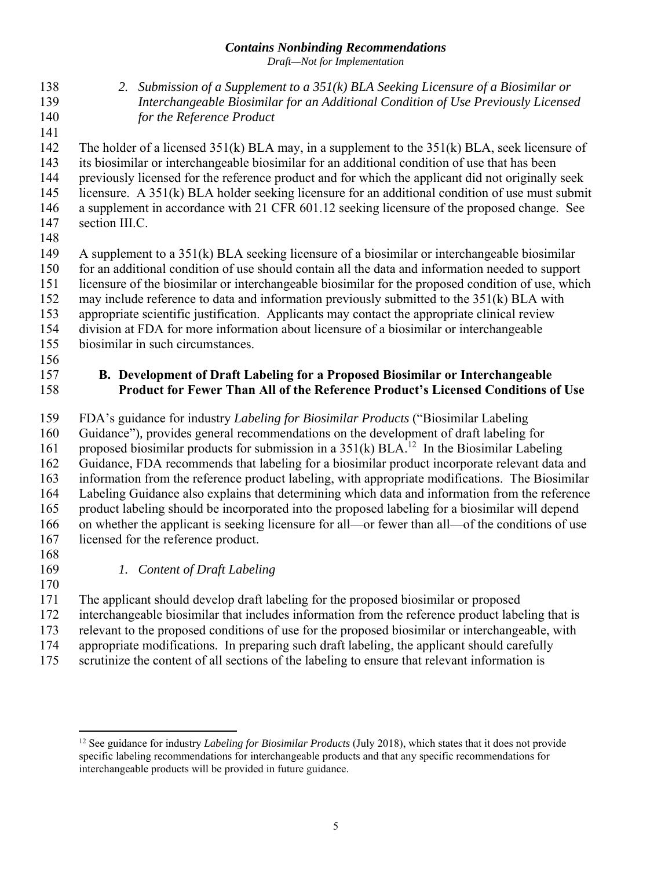*Draft—Not for Implementation* 

- <span id="page-7-0"></span>138 *2. Submission of a Supplement to a 351(k) BLA Seeking Licensure of a Biosimilar or*  139 *Interchangeable Biosimilar for an Additional Condition of Use Previously Licensed*  140 *for the Reference Product*
- 141 142 The holder of a licensed 351(k) BLA may, in a supplement to the 351(k) BLA, seek licensure of 143 its biosimilar or interchangeable biosimilar for an additional condition of use that has been
- 144 previously licensed for the reference product and for which the applicant did not originally seek
- 145 licensure. A 351(k) BLA holder seeking licensure for an additional condition of use must submit
- 146 a supplement in accordance with 21 CFR 601.12 seeking licensure of the proposed change. See 147 section III.C.
- 148
- 149 A supplement to a 351(k) BLA seeking licensure of a biosimilar or interchangeable biosimilar
- 150 for an additional condition of use should contain all the data and information needed to support
- 151 licensure of the biosimilar or interchangeable biosimilar for the proposed condition of use, which
- 152 may include reference to data and information previously submitted to the 351(k) BLA with
- 153 appropriate scientific justification. Applicants may contact the appropriate clinical review
- 154 division at FDA for more information about licensure of a biosimilar or interchangeable 155 biosimilar in such circumstances.
- 156

#### 157 **B. Development of Draft Labeling for a Proposed Biosimilar or Interchangeable**  158 **Product for Fewer Than All of the Reference Product's Licensed Conditions of Use**

- 159 FDA's guidance for industry *Labeling for Biosimilar Products* ("Biosimilar Labeling
- 160 Guidance")*,* provides general recommendations on the development of draft labeling for
- 161 proposed biosimilar products for submission in a  $351(k)$  BLA.<sup>12</sup> In the Biosimilar Labeling
- 162 Guidance, FDA recommends that labeling for a biosimilar product incorporate relevant data and 163 information from the reference product labeling, with appropriate modifications. The Biosimilar 164 Labeling Guidance also explains that determining which data and information from the reference 165 product labeling should be incorporated into the proposed labeling for a biosimilar will depend 166 on whether the applicant is seeking licensure for all—or fewer than all—of the conditions of use
- 167 licensed for the reference product.

 $\overline{a}$ 

- 168
- 
- 169 *1. Content of Draft Labeling*
- 172 interchangeable biosimilar that includes information from the reference product labeling that is 170 171 The applicant should develop draft labeling for the proposed biosimilar or proposed 173 relevant to the proposed conditions of use for the proposed biosimilar or interchangeable, with 174 appropriate modifications. In preparing such draft labeling, the applicant should carefully
- 175 scrutinize the content of all sections of the labeling to ensure that relevant information is

<sup>12</sup> See guidance for industry *Labeling for Biosimilar Products* (July 2018), which states that it does not provide specific labeling recommendations for interchangeable products and that any specific recommendations for interchangeable products will be provided in future guidance.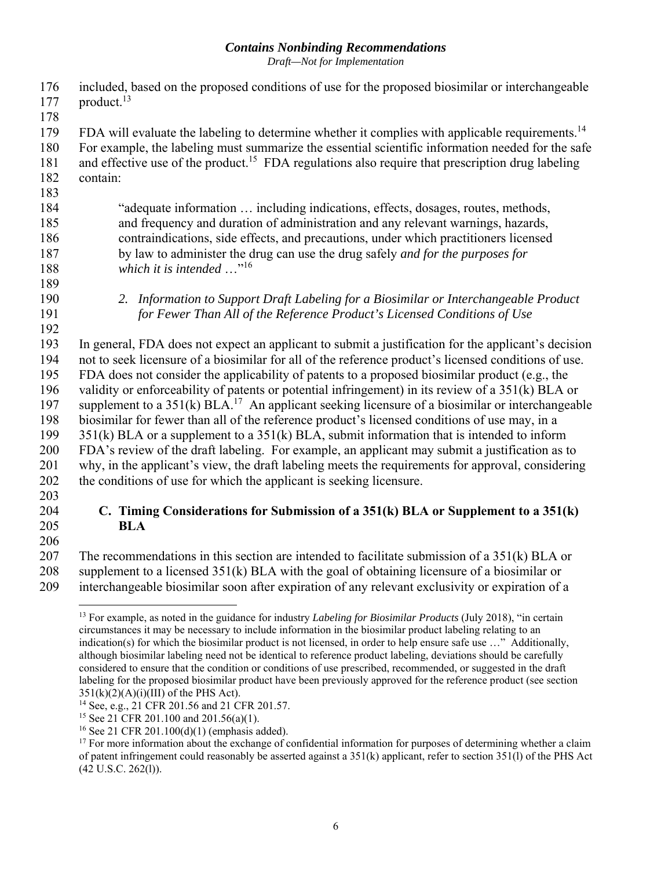*Draft—Not for Implementation* 

<span id="page-8-0"></span>

| 176<br>177 | included, based on the proposed conditions of use for the proposed biosimilar or interchangeable<br>product. <sup>13</sup> |
|------------|----------------------------------------------------------------------------------------------------------------------------|
| 178        |                                                                                                                            |
|            |                                                                                                                            |
| 179        | FDA will evaluate the labeling to determine whether it complies with applicable requirements. <sup>14</sup>                |
| 180        | For example, the labeling must summarize the essential scientific information needed for the safe                          |
| 181        | and effective use of the product. <sup>15</sup> FDA regulations also require that prescription drug labeling               |
| 182        | contain:                                                                                                                   |
| 183        |                                                                                                                            |
| 184        | "adequate information  including indications, effects, dosages, routes, methods,                                           |
| 185        | and frequency and duration of administration and any relevant warnings, hazards,                                           |
| 186        | contraindications, side effects, and precautions, under which practitioners licensed                                       |
| 187        | by law to administer the drug can use the drug safely and for the purposes for                                             |
| 188        | which it is intended $\ldots$ <sup>"16</sup>                                                                               |
| 189        |                                                                                                                            |
| 190        | 2. Information to Support Draft Labeling for a Biosimilar or Interchangeable Product                                       |
| 191        | for Fewer Than All of the Reference Product's Licensed Conditions of Use                                                   |
| 192        |                                                                                                                            |
| 193        | In general, FDA does not expect an applicant to submit a justification for the applicant's decision                        |
| 194        | not to seek licensure of a biosimilar for all of the reference product's licensed conditions of use.                       |
| 195        | FDA does not consider the applicability of patents to a proposed biosimilar product (e.g., the                             |
| 196        | validity or enforceability of patents or potential infringement) in its review of a 351(k) BLA or                          |
| 197        | supplement to a $351(k)$ BLA. <sup>17</sup> An applicant seeking licensure of a biosimilar or interchangeable              |
| 198        | biosimilar for fewer than all of the reference product's licensed conditions of use may, in a                              |
| 199        | $351(k)$ BLA or a supplement to a $351(k)$ BLA, submit information that is intended to inform                              |
| 200        | FDA's review of the draft labeling. For example, an applicant may submit a justification as to                             |
| 201        | why, in the applicant's view, the draft labeling meets the requirements for approval, considering                          |
| 202        | the conditions of use for which the applicant is seeking licensure.                                                        |
| 203        |                                                                                                                            |
| 204        | C. Timing Considerations for Submission of a $351(k)$ BLA or Supplement to a $351(k)$                                      |

206

205 **BLA** 

207 The recommendations in this section are intended to facilitate submission of a 351(k) BLA or 208 supplement to a licensed  $351(k)$  BLA with the goal of obtaining licensure of a biosimilar or 209 interchangeable biosimilar soon after expiration of any relevant exclusivity or expiration of a

 $\overline{a}$  circumstances it may be necessary to include information in the biosimilar product labeling relating to an although biosimilar labeling need not be identical to reference product labeling, deviations should be carefully labeling for the proposed biosimilar product have been previously approved for the reference product (see section 13 For example, as noted in the guidance for industry *Labeling for Biosimilar Products* (July 2018), "in certain indication(s) for which the biosimilar product is not licensed, in order to help ensure safe use …" Additionally, considered to ensure that the condition or conditions of use prescribed, recommended, or suggested in the draft  $351(k)(2)(A)(i)(III)$  of the PHS Act).

<sup>14</sup> See, e.g., 21 CFR 201.56 and 21 CFR 201.57.

<sup>&</sup>lt;sup>15</sup> See 21 CFR 201.100 and 201.56(a)(1).

<sup>16</sup> See 21 CFR 201.100(d)(1) (emphasis added).

 $17$  For more information about the exchange of confidential information for purposes of determining whether a claim of patent infringement could reasonably be asserted against a 351(k) applicant, refer to section 351(l) of the PHS Act (42 U.S.C. 262(l)).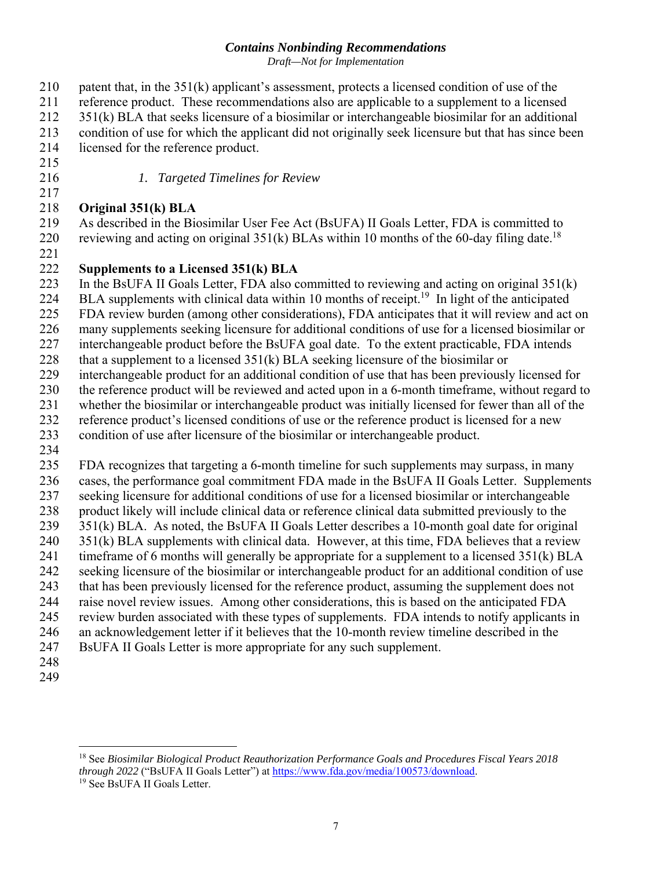*Draft—Not for Implementation* 

210 patent that, in the 351(k) applicant's assessment, protects a licensed condition of use of the 211 reference product. These recommendations also are applicable to a supplement to a licensed 212 351(k) BLA that seeks licensure of a biosimilar or interchangeable biosimilar for an additional 213 condition of use for which the applicant did not originally seek licensure but that has since been 214 licensed for the reference product.

- 215
- 217

216 *1. Targeted Timelines for Review* 

#### 218 **Original 351(k) BLA**

reviewing and acting on original  $351(k)$  BLAs within 10 months of the 60-day filing date.<sup>18</sup> 219 220 As described in the Biosimilar User Fee Act (BsUFA) II Goals Letter, FDA is committed to

221

#### 222 **Supplements to a Licensed 351(k) BLA**

223 In the BsUFA II Goals Letter, FDA also committed to reviewing and acting on original 351(k)

224 BLA supplements with clinical data within 10 months of receipt.<sup>19</sup> In light of the anticipated

225 FDA review burden (among other considerations), FDA anticipates that it will review and act on

226 many supplements seeking licensure for additional conditions of use for a licensed biosimilar or

227 interchangeable product before the BsUFA goal date. To the extent practicable, FDA intends

228 that a supplement to a licensed  $351(k)$  BLA seeking licensure of the biosimilar or

229 interchangeable product for an additional condition of use that has been previously licensed for

230 the reference product will be reviewed and acted upon in a 6-month timeframe, without regard to

231 whether the biosimilar or interchangeable product was initially licensed for fewer than all of the

232 reference product's licensed conditions of use or the reference product is licensed for a new

233 condition of use after licensure of the biosimilar or interchangeable product.

234

235 FDA recognizes that targeting a 6-month timeline for such supplements may surpass, in many 236 cases, the performance goal commitment FDA made in the BsUFA II Goals Letter. Supplements 237 seeking licensure for additional conditions of use for a licensed biosimilar or interchangeable 238 product likely will include clinical data or reference clinical data submitted previously to the 239 351(k) BLA. As noted, the BsUFA II Goals Letter describes a 10-month goal date for original 240 351(k) BLA supplements with clinical data. However, at this time, FDA believes that a review 241 timeframe of 6 months will generally be appropriate for a supplement to a licensed 351(k) BLA

242 seeking licensure of the biosimilar or interchangeable product for an additional condition of use 243 that has been previously licensed for the reference product, assuming the supplement does not

244 raise novel review issues. Among other considerations, this is based on the anticipated FDA

245 review burden associated with these types of supplements. FDA intends to notify applicants in

246 an acknowledgement letter if it believes that the 10-month review timeline described in the

- 247 BsUFA II Goals Letter is more appropriate for any such supplement.
- 248 249

 $\overline{a}$ 

<sup>18</sup> See *Biosimilar Biological Product Reauthorization Performance Goals and Procedures Fiscal Years 2018 through 2022* ("BsUFA II Goals Letter") at https://www.fda.gov/media/100573/download.<br><sup>19</sup> See BsUFA II Goals Letter.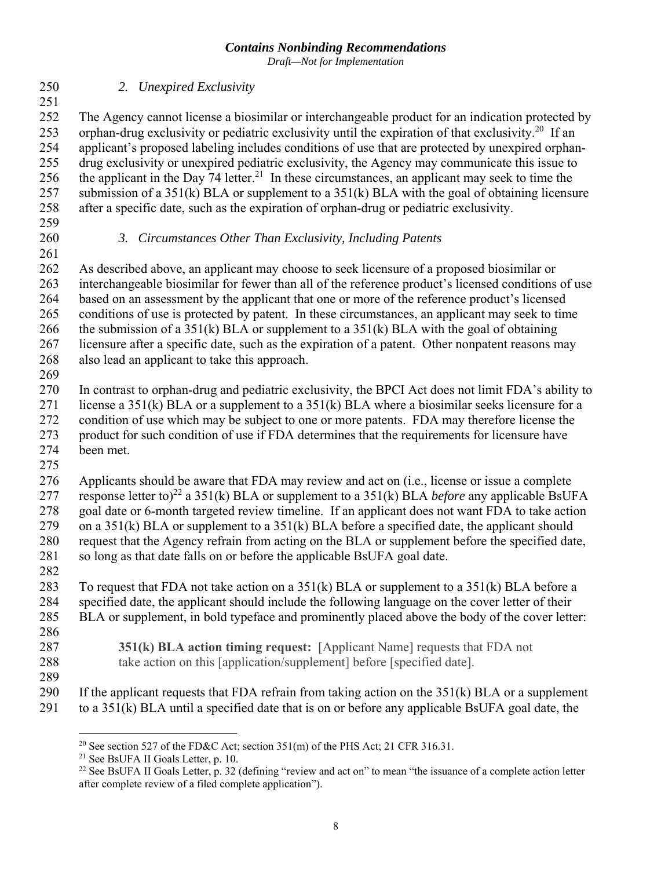*Draft—Not for Implementation* 

250 *2. Unexpired Exclusivity*  251 252 253 The Agency cannot license a biosimilar or interchangeable product for an indication protected by orphan-drug exclusivity or pediatric exclusivity until the expiration of that exclusivity.<sup>20</sup> If an 254 applicant's proposed labeling includes conditions of use that are protected by unexpired orphan-255 256 drug exclusivity or unexpired pediatric exclusivity, the Agency may communicate this issue to the applicant in the Day  $74$  letter.<sup>21</sup> In these circumstances, an applicant may seek to time the 257 submission of a 351(k) BLA or supplement to a 351(k) BLA with the goal of obtaining licensure 258 after a specific date, such as the expiration of orphan-drug or pediatric exclusivity. 259 260 *3. Circumstances Other Than Exclusivity, Including Patents*  261 262 As described above, an applicant may choose to seek licensure of a proposed biosimilar or 263 interchangeable biosimilar for fewer than all of the reference product's licensed conditions of use 264 based on an assessment by the applicant that one or more of the reference product's licensed 265 conditions of use is protected by patent. In these circumstances, an applicant may seek to time 266 the submission of a 351(k) BLA or supplement to a 351(k) BLA with the goal of obtaining 267 licensure after a specific date, such as the expiration of a patent. Other nonpatent reasons may 268 also lead an applicant to take this approach. 269 270 In contrast to orphan-drug and pediatric exclusivity, the BPCI Act does not limit FDA's ability to 271 license a 351(k) BLA or a supplement to a  $351(k)$  BLA where a biosimilar seeks licensure for a 272 condition of use which may be subject to one or more patents. FDA may therefore license the 273 product for such condition of use if FDA determines that the requirements for licensure have 274 been met. 275 276 277 Applicants should be aware that FDA may review and act on (i.e., license or issue a complete response letter to)22 a 351(k) BLA or supplement to a 351(k) BLA *before* any applicable BsUFA 278 goal date or 6-month targeted review timeline. If an applicant does not want FDA to take action 279 on a 351(k) BLA or supplement to a 351(k) BLA before a specified date, the applicant should 280 request that the Agency refrain from acting on the BLA or supplement before the specified date, 281 so long as that date falls on or before the applicable BsUFA goal date. 282 283 To request that FDA not take action on a  $351(k)$  BLA or supplement to a  $351(k)$  BLA before a 284 specified date, the applicant should include the following language on the cover letter of their 285 BLA or supplement, in bold typeface and prominently placed above the body of the cover letter: 286 287 288 **351(k) BLA action timing request:** [Applicant Name] requests that FDA not take action on this [application/supplement] before [specified date]. 289 290 If the applicant requests that FDA refrain from taking action on the  $351(k)$  BLA or a supplement 291 to a 351(k) BLA until a specified date that is on or before any applicable BsUFA goal date, the

<sup>1</sup> 

<sup>&</sup>lt;sup>20</sup> See section 527 of the FD&C Act; section 351(m) of the PHS Act; 21 CFR 316.31.<br><sup>21</sup> See BsUFA II Goals Letter, p. 10.<br><sup>22</sup> See BsUFA II Goals Letter, p. 32 (defining "review and act on" to mean "the issuance of a comp after complete review of a filed complete application").